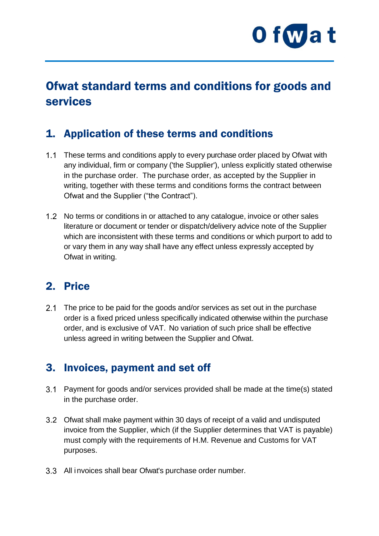

# Ofwat standard terms and conditions for goods and services

#### 1. Application of these terms and conditions

- 1.1 These terms and conditions apply to every purchase order placed by Ofwat with any individual, firm or company ('the Supplier'), unless explicitly stated otherwise in the purchase order. The purchase order, as accepted by the Supplier in writing, together with these terms and conditions forms the contract between Ofwat and the Supplier ("the Contract").
- 1.2 No terms or conditions in or attached to any catalogue, invoice or other sales literature or document or tender or dispatch/delivery advice note of the Supplier which are inconsistent with these terms and conditions or which purport to add to or vary them in any way shall have any effect unless expressly accepted by Ofwat in writing.

### 2. Price

2.1 The price to be paid for the goods and/or services as set out in the purchase order is a fixed priced unless specifically indicated otherwise within the purchase order, and is exclusive of VAT. No variation of such price shall be effective unless agreed in writing between the Supplier and Ofwat.

#### 3. Invoices, payment and set off

- Payment for goods and/or services provided shall be made at the time(s) stated in the purchase order.
- Ofwat shall make payment within 30 days of receipt of a valid and undisputed invoice from the Supplier, which (if the Supplier determines that VAT is payable) must comply with the requirements of H.M. Revenue and Customs for VAT purposes.
- All invoices shall bear Ofwat's purchase order number.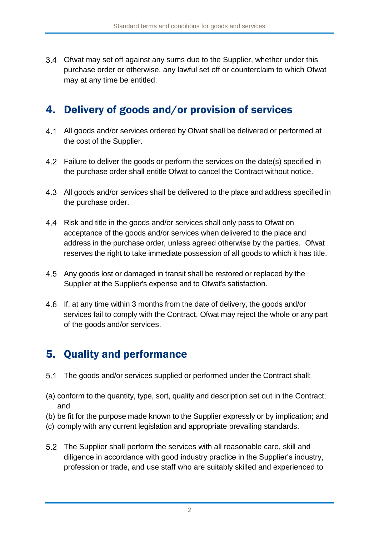Ofwat may set off against any sums due to the Supplier, whether under this purchase order or otherwise, any lawful set off or counterclaim to which Ofwat may at any time be entitled.

#### 4. Delivery of goods and/or provision of services

- All goods and/or services ordered by Ofwat shall be delivered or performed at the cost of the Supplier.
- 4.2 Failure to deliver the goods or perform the services on the date(s) specified in the purchase order shall entitle Ofwat to cancel the Contract without notice.
- All goods and/or services shall be delivered to the place and address specified in the purchase order.
- 4.4 Risk and title in the goods and/or services shall only pass to Ofwat on acceptance of the goods and/or services when delivered to the place and address in the purchase order, unless agreed otherwise by the parties. Ofwat reserves the right to take immediate possession of all goods to which it has title.
- Any goods lost or damaged in transit shall be restored or replaced by the Supplier at the Supplier's expense and to Ofwat's satisfaction.
- 4.6 If, at any time within 3 months from the date of delivery, the goods and/or services fail to comply with the Contract, Ofwat may reject the whole or any part of the goods and/or services.

# 5. Quality and performance

- $5.1$ The goods and/or services supplied or performed under the Contract shall:
- (a) conform to the quantity, type, sort, quality and description set out in the Contract; and
- (b) be fit for the purpose made known to the Supplier expressly or by implication; and
- (c) comply with any current legislation and appropriate prevailing standards.
- The Supplier shall perform the services with all reasonable care, skill and diligence in accordance with good industry practice in the Supplier's industry, profession or trade, and use staff who are suitably skilled and experienced to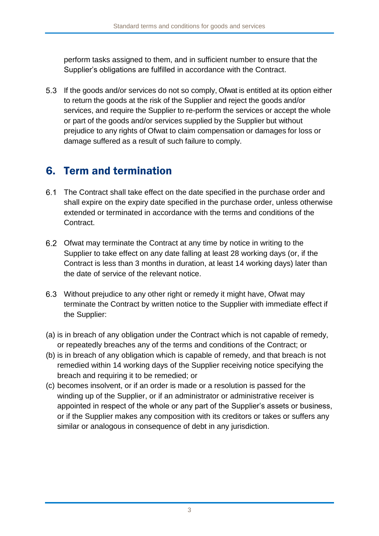perform tasks assigned to them, and in sufficient number to ensure that the Supplier's obligations are fulfilled in accordance with the Contract.

5.3 If the goods and/or services do not so comply, Ofwat is entitled at its option either to return the goods at the risk of the Supplier and reject the goods and/or services, and require the Supplier to re-perform the services or accept the whole or part of the goods and/or services supplied by the Supplier but without prejudice to any rights of Ofwat to claim compensation or damages for loss or damage suffered as a result of such failure to comply.

### 6. Term and termination

- The Contract shall take effect on the date specified in the purchase order and shall expire on the expiry date specified in the purchase order, unless otherwise extended or terminated in accordance with the terms and conditions of the Contract.
- Ofwat may terminate the Contract at any time by notice in writing to the Supplier to take effect on any date falling at least 28 working days (or, if the Contract is less than 3 months in duration, at least 14 working days) later than the date of service of the relevant notice.
- Without prejudice to any other right or remedy it might have, Ofwat may terminate the Contract by written notice to the Supplier with immediate effect if the Supplier:
- (a) is in breach of any obligation under the Contract which is not capable of remedy, or repeatedly breaches any of the terms and conditions of the Contract; or
- (b) is in breach of any obligation which is capable of remedy, and that breach is not remedied within 14 working days of the Supplier receiving notice specifying the breach and requiring it to be remedied; or
- (c) becomes insolvent, or if an order is made or a resolution is passed for the winding up of the Supplier, or if an administrator or administrative receiver is appointed in respect of the whole or any part of the Supplier's assets or business, or if the Supplier makes any composition with its creditors or takes or suffers any similar or analogous in consequence of debt in any jurisdiction.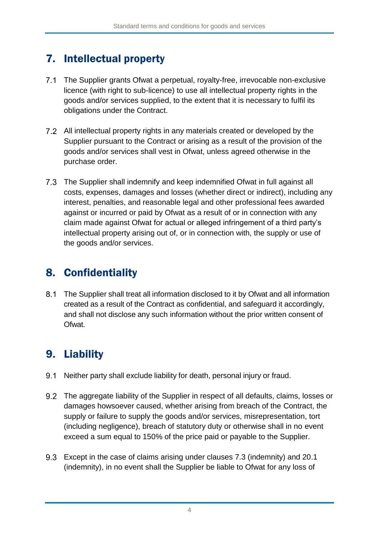# 7. Intellectual property

- $7.1$ The Supplier grants Ofwat a perpetual, royalty-free, irrevocable non-exclusive licence (with right to sub-licence) to use all intellectual property rights in the goods and/or services supplied, to the extent that it is necessary to fulfil its obligations under the Contract.
- All intellectual property rights in any materials created or developed by the Supplier pursuant to the Contract or arising as a result of the provision of the goods and/or services shall vest in Ofwat, unless agreed otherwise in the purchase order.
- The Supplier shall indemnify and keep indemnified Ofwat in full against all costs, expenses, damages and losses (whether direct or indirect), including any interest, penalties, and reasonable legal and other professional fees awarded against or incurred or paid by Ofwat as a result of or in connection with any claim made against Ofwat for actual or alleged infringement of a third party's intellectual property arising out of, or in connection with, the supply or use of the goods and/or services.

# 8. Confidentiality

 $8.1$ The Supplier shall treat all information disclosed to it by Ofwat and all information created as a result of the Contract as confidential, and safeguard it accordingly, and shall not disclose any such information without the prior written consent of Ofwat.

# 9. Liability

- $9.1$ Neither party shall exclude liability for death, personal injury or fraud.
- The aggregate liability of the Supplier in respect of all defaults, claims, losses or damages howsoever caused, whether arising from breach of the Contract, the supply or failure to supply the goods and/or services, misrepresentation, tort (including negligence), breach of statutory duty or otherwise shall in no event exceed a sum equal to 150% of the price paid or payable to the Supplier.
- Except in the case of claims arising under clauses 7.3 (indemnity) and 20.1 (indemnity), in no event shall the Supplier be liable to Ofwat for any loss of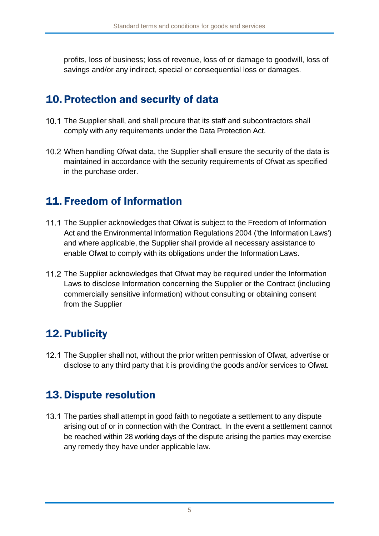profits, loss of business; loss of revenue, loss of or damage to goodwill, loss of savings and/or any indirect, special or consequential loss or damages.

### 10.Protection and security of data

- 10.1 The Supplier shall, and shall procure that its staff and subcontractors shall comply with any requirements under the Data Protection Act.
- 10.2 When handling Ofwat data, the Supplier shall ensure the security of the data is maintained in accordance with the security requirements of Ofwat as specified in the purchase order.

# 11. Freedom of Information

- 11.1 The Supplier acknowledges that Ofwat is subject to the Freedom of Information Act and the Environmental Information Regulations 2004 ('the Information Laws') and where applicable, the Supplier shall provide all necessary assistance to enable Ofwat to comply with its obligations under the Information Laws.
- 11.2 The Supplier acknowledges that Ofwat may be required under the Information Laws to disclose Information concerning the Supplier or the Contract (including commercially sensitive information) without consulting or obtaining consent from the Supplier

# 12.Publicity

12.1 The Supplier shall not, without the prior written permission of Ofwat, advertise or disclose to any third party that it is providing the goods and/or services to Ofwat.

### 13.Dispute resolution

13.1 The parties shall attempt in good faith to negotiate a settlement to any dispute arising out of or in connection with the Contract. In the event a settlement cannot be reached within 28 working days of the dispute arising the parties may exercise any remedy they have under applicable law.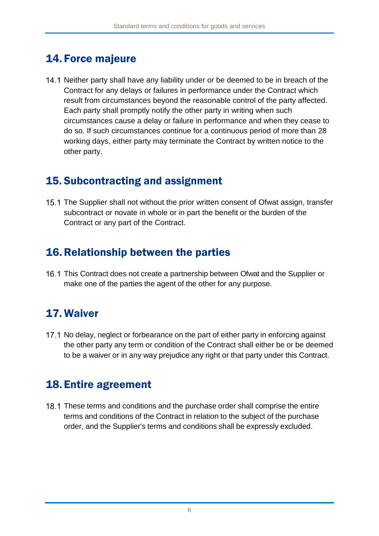#### 14. Force majeure

14.1 Neither party shall have any liability under or be deemed to be in breach of the Contract for any delays or failures in performance under the Contract which result from circumstances beyond the reasonable control of the party affected. Each party shall promptly notify the other party in writing when such circumstances cause a delay or failure in performance and when they cease to do so. If such circumstances continue for a continuous period of more than 28 working days, either party may terminate the Contract by written notice to the other party.

### 15. Subcontracting and assignment

15.1 The Supplier shall not without the prior written consent of Ofwat assign, transfer subcontract or novate in whole or in part the benefit or the burden of the Contract or any part of the Contract.

#### 16.Relationship between the parties

16.1 This Contract does not create a partnership between Ofwat and the Supplier or make one of the parties the agent of the other for any purpose.

# 17. Waiver

17.1 No delay, neglect or forbearance on the part of either party in enforcing against the other party any term or condition of the Contract shall either be or be deemed to be a waiver or in any way prejudice any right or that party under this Contract.

#### 18. Entire agreement

18.1 These terms and conditions and the purchase order shall comprise the entire terms and conditions of the Contract in relation to the subject of the purchase order, and the Supplier's terms and conditions shall be expressly excluded.